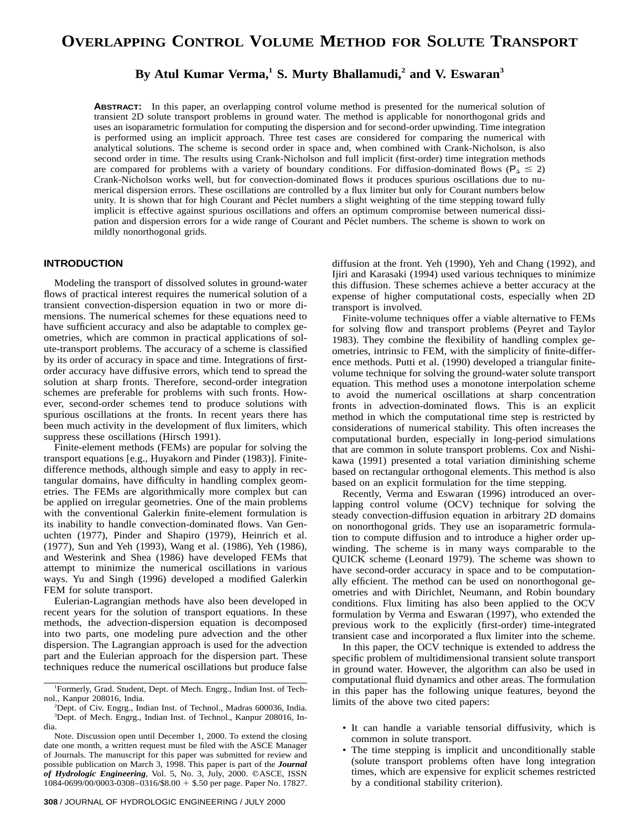# **By Atul Kumar Verma,1 S. Murty Bhallamudi,2 and V. Eswaran<sup>3</sup>**

**ABSTRACT:** In this paper, an overlapping control volume method is presented for the numerical solution of transient 2D solute transport problems in ground water. The method is applicable for nonorthogonal grids and uses an isoparametric formulation for computing the dispersion and for second-order upwinding. Time integration is performed using an implicit approach. Three test cases are considered for comparing the numerical with analytical solutions. The scheme is second order in space and, when combined with Crank-Nicholson, is also second order in time. The results using Crank-Nicholson and full implicit (first-order) time integration methods are compared for problems with a variety of boundary conditions. For diffusion-dominated flows ( $P_0 \le 2$ ) Crank-Nicholson works well, but for convection-dominated flows it produces spurious oscillations due to numerical dispersion errors. These oscillations are controlled by a flux limiter but only for Courant numbers below unity. It is shown that for high Courant and Péclet numbers a slight weighting of the time stepping toward fully implicit is effective against spurious oscillations and offers an optimum compromise between numerical dissipation and dispersion errors for a wide range of Courant and Péclet numbers. The scheme is shown to work on mildly nonorthogonal grids.

## **INTRODUCTION**

Modeling the transport of dissolved solutes in ground-water flows of practical interest requires the numerical solution of a transient convection-dispersion equation in two or more dimensions. The numerical schemes for these equations need to have sufficient accuracy and also be adaptable to complex geometries, which are common in practical applications of solute-transport problems. The accuracy of a scheme is classified by its order of accuracy in space and time. Integrations of firstorder accuracy have diffusive errors, which tend to spread the solution at sharp fronts. Therefore, second-order integration schemes are preferable for problems with such fronts. However, second-order schemes tend to produce solutions with spurious oscillations at the fronts. In recent years there has been much activity in the development of flux limiters, which suppress these oscillations (Hirsch 1991).

Finite-element methods (FEMs) are popular for solving the transport equations [e.g., Huyakorn and Pinder (1983)]. Finitedifference methods, although simple and easy to apply in rectangular domains, have difficulty in handling complex geometries. The FEMs are algorithmically more complex but can be applied on irregular geometries. One of the main problems with the conventional Galerkin finite-element formulation is its inability to handle convection-dominated flows. Van Genuchten (1977), Pinder and Shapiro (1979), Heinrich et al. (1977), Sun and Yeh (1993), Wang et al. (1986), Yeh (1986), and Westerink and Shea (1986) have developed FEMs that attempt to minimize the numerical oscillations in various ways. Yu and Singh (1996) developed a modified Galerkin FEM for solute transport.

Eulerian-Lagrangian methods have also been developed in recent years for the solution of transport equations. In these methods, the advection-dispersion equation is decomposed into two parts, one modeling pure advection and the other dispersion. The Lagrangian approach is used for the advection part and the Eulerian approach for the dispersion part. These techniques reduce the numerical oscillations but produce false diffusion at the front. Yeh (1990), Yeh and Chang (1992), and Ijiri and Karasaki (1994) used various techniques to minimize this diffusion. These schemes achieve a better accuracy at the expense of higher computational costs, especially when 2D transport is involved.

Finite-volume techniques offer a viable alternative to FEMs for solving flow and transport problems (Peyret and Taylor 1983). They combine the flexibility of handling complex geometries, intrinsic to FEM, with the simplicity of finite-difference methods. Putti et al. (1990) developed a triangular finitevolume technique for solving the ground-water solute transport equation. This method uses a monotone interpolation scheme to avoid the numerical oscillations at sharp concentration fronts in advection-dominated flows. This is an explicit method in which the computational time step is restricted by considerations of numerical stability. This often increases the computational burden, especially in long-period simulations that are common in solute transport problems. Cox and Nishikawa (1991) presented a total variation diminishing scheme based on rectangular orthogonal elements. This method is also based on an explicit formulation for the time stepping.

Recently, Verma and Eswaran (1996) introduced an overlapping control volume (OCV) technique for solving the steady convection-diffusion equation in arbitrary 2D domains on nonorthogonal grids. They use an isoparametric formulation to compute diffusion and to introduce a higher order upwinding. The scheme is in many ways comparable to the QUICK scheme (Leonard 1979). The scheme was shown to have second-order accuracy in space and to be computationally efficient. The method can be used on nonorthogonal geometries and with Dirichlet, Neumann, and Robin boundary conditions. Flux limiting has also been applied to the OCV formulation by Verma and Eswaran (1997), who extended the previous work to the explicitly (first-order) time-integrated transient case and incorporated a flux limiter into the scheme.

In this paper, the OCV technique is extended to address the specific problem of multidimensional transient solute transport in ground water. However, the algorithm can also be used in computational fluid dynamics and other areas. The formulation in this paper has the following unique features, beyond the limits of the above two cited papers:

- It can handle a variable tensorial diffusivity, which is common in solute transport.
- The time stepping is implicit and unconditionally stable (solute transport problems often have long integration times, which are expensive for explicit schemes restricted by a conditional stability criterion).

<sup>1</sup> Formerly, Grad. Student, Dept. of Mech. Engrg., Indian Inst. of Technol., Kanpur 208016, India. <sup>2</sup>

<sup>&</sup>lt;sup>2</sup>Dept. of Civ. Engrg., Indian Inst. of Technol., Madras 600036, India. <sup>3</sup>Dept. of Mech. Engrg., Indian Inst. of Technol., Kanpur 208016, India.

Note. Discussion open until December 1, 2000. To extend the closing date one month, a written request must be filed with the ASCE Manager of Journals. The manuscript for this paper was submitted for review and possible publication on March 3, 1998. This paper is part of the *Journal* of Hydrologic Engineering, Vol. 5, No. 3, July, 2000. ©ASCE, ISSN  $1084-0699/00/0003-0308-0316$  \$8.00 + \$.50 per page. Paper No. 17827.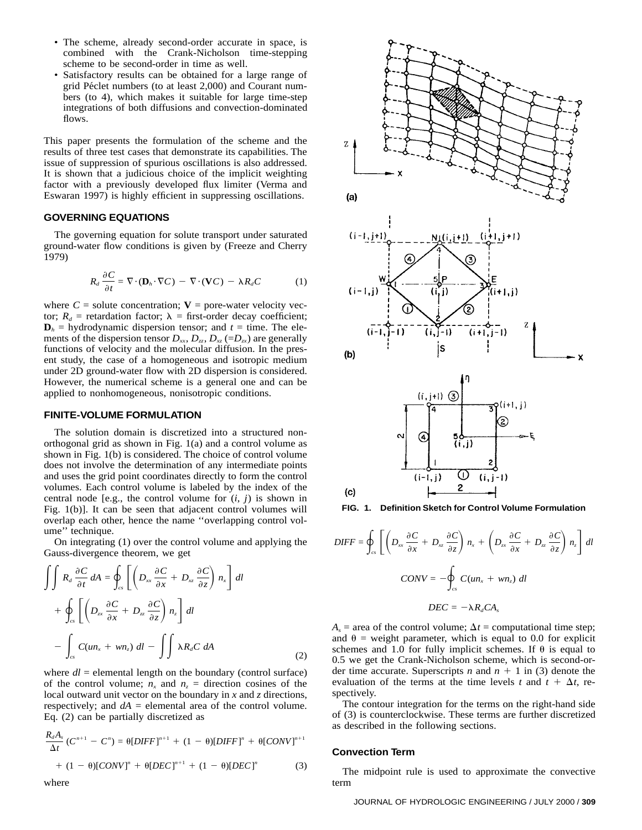- The scheme, already second-order accurate in space, is combined with the Crank-Nicholson time-stepping scheme to be second-order in time as well.
- Satisfactory results can be obtained for a large range of grid Péclet numbers (to at least 2,000) and Courant numbers (to 4), which makes it suitable for large time-step integrations of both diffusions and convection-dominated flows.

This paper presents the formulation of the scheme and the results of three test cases that demonstrate its capabilities. The issue of suppression of spurious oscillations is also addressed. It is shown that a judicious choice of the implicit weighting factor with a previously developed flux limiter (Verma and Eswaran 1997) is highly efficient in suppressing oscillations.

#### **GOVERNING EQUATIONS**

The governing equation for solute transport under saturated ground-water flow conditions is given by (Freeze and Cherry 1979)

$$
R_d \frac{\partial C}{\partial t} = \nabla \cdot (\mathbf{D}_h \cdot \nabla C) - \nabla \cdot (\mathbf{V} C) - \lambda R_d C \tag{1}
$$

where  $C =$  solute concentration;  $V =$  pore-water velocity vector;  $R_d$  = retardation factor;  $\lambda$  = first-order decay coefficient;  $\mathbf{D}_h$  = hydrodynamic dispersion tensor; and  $t =$  time. The elements of the dispersion tensor  $D_{xx}$ ,  $D_{zz}$ ,  $D_{xz}$  (= $D_{zx}$ ) are generally functions of velocity and the molecular diffusion. In the present study, the case of a homogeneous and isotropic medium under 2D ground-water flow with 2D dispersion is considered. However, the numerical scheme is a general one and can be applied to nonhomogeneous, nonisotropic conditions.

#### **FINITE-VOLUME FORMULATION**

The solution domain is discretized into a structured nonorthogonal grid as shown in Fig. 1(a) and a control volume as shown in Fig. 1(b) is considered. The choice of control volume does not involve the determination of any intermediate points and uses the grid point coordinates directly to form the control volumes. Each control volume is labeled by the index of the central node [e.g., the control volume for  $(i, j)$  is shown in Fig. 1(b)]. It can be seen that adjacent control volumes will overlap each other, hence the name ''overlapping control volume'' technique.

On integrating (1) over the control volume and applying the Gauss-divergence theorem, we get

$$
\int\int R_d \frac{\partial C}{\partial t} dA = \oint_{cs} \left[ \left( D_{xx} \frac{\partial C}{\partial x} + D_{xz} \frac{\partial C}{\partial z} \right) n_x \right] dl
$$
  
+ 
$$
\oint_{cs} \left[ \left( D_{xx} \frac{\partial C}{\partial x} + D_{zz} \frac{\partial C}{\partial z} \right) n_z \right] dl
$$
  
- 
$$
\int_{cs} C(u n_x + w n_z) dl - \int\int \lambda R_d C dA
$$
 (2)

where  $dl =$  elemental length on the boundary (control surface) of the control volume;  $n_x$  and  $n_z$  = direction cosines of the local outward unit vector on the boundary in *x* and *z* directions, respectively; and  $dA$  = elemental area of the control volume. Eq. (2) can be partially discretized as

$$
\frac{R_d A_s}{\Delta t} (C^{n+1} - C^n) = \theta [DIFF]^{n+1} + (1 - \theta)[DIFF]^n + \theta [CONV]^{n+1}
$$

$$
+ (1 - \theta)[CONV]^n + \theta [DEC]^{n+1} + (1 - \theta)[DEC]^n \tag{3}
$$



**FIG. 1. Definition Sketch for Control Volume Formulation**

$$
DIFF = \oint_{cs} \left[ \left( D_{xx} \frac{\partial C}{\partial x} + D_{xz} \frac{\partial C}{\partial z} \right) n_x + \left( D_{zx} \frac{\partial C}{\partial x} + D_{zz} \frac{\partial C}{\partial z} \right) n_z \right] dl
$$
  

$$
CONV = -\oint_{cs} C(u n_x + w n_z) dl
$$
  

$$
DEC = -\lambda R_d C A_s
$$

 $A_s$  = area of the control volume;  $\Delta t$  = computational time step; and  $\theta$  = weight parameter, which is equal to 0.0 for explicit schemes and 1.0 for fully implicit schemes. If  $\theta$  is equal to 0.5 we get the Crank-Nicholson scheme, which is second-order time accurate. Superscripts *n* and  $n + 1$  in (3) denote the evaluation of the terms at the time levels *t* and  $t + \Delta t$ , respectively.

The contour integration for the terms on the right-hand side of (3) is counterclockwise. These terms are further discretized as described in the following sections.

#### **Convection Term**

The midpoint rule is used to approximate the convective term

where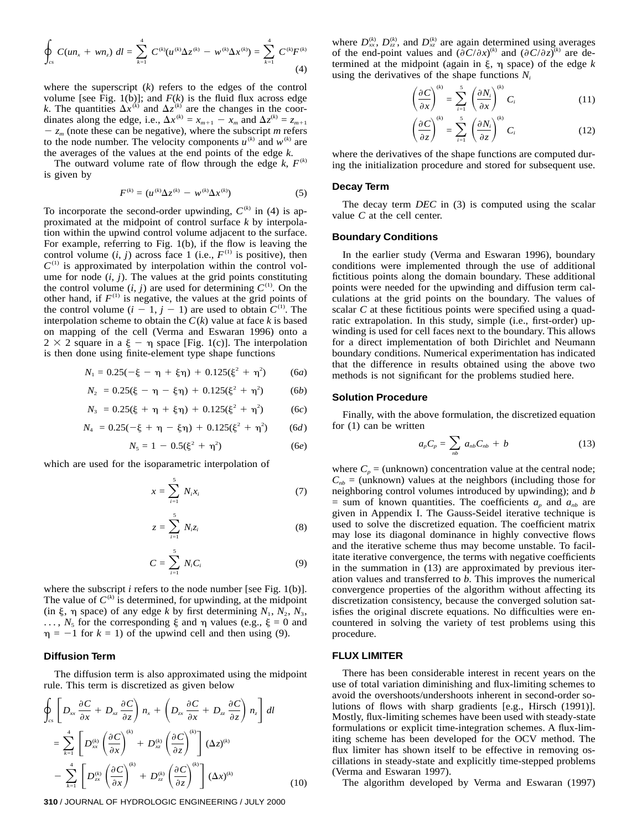$$
\oint_{cs} C(un_x + wn_z) \ dl = \sum_{k=1}^4 C^{(k)} (u^{(k)} \Delta z^{(k)} - w^{(k)} \Delta x^{(k)}) = \sum_{k=1}^4 C^{(k)} F^{(k)}
$$
\n(4)

where the superscript (*k*) refers to the edges of the control volume [see Fig. 1(b)]; and  $F(k)$  is the fluid flux across edge *k*. The quantities  $\Delta x^{(k)}$  and  $\Delta z^{(k)}$  are the changes in the coordinates along the edge, i.e.,  $\Delta x^{(k)} = x_{m+1} - x_m$  and  $\Delta z^{(k)} = z_{m+1}$  $-z_m$  (note these can be negative), where the subscript *m* refers to the node number. The velocity components  $u^{(k)}$  and  $w^{(k)}$  are the averages of the values at the end points of the edge *k*.

The outward volume rate of flow through the edge  $k$ ,  $F^{(k)}$ is given by

$$
F^{(k)} = (u^{(k)} \Delta z^{(k)} - w^{(k)} \Delta x^{(k)})
$$
 (5)

To incorporate the second-order upwinding,  $C^{(k)}$  in (4) is approximated at the midpoint of control surface *k* by interpolation within the upwind control volume adjacent to the surface. For example, referring to Fig. 1(b), if the flow is leaving the control volume  $(i, j)$  across face 1 (i.e.,  $F^{(1)}$  is positive), then  $C^{(1)}$  is approximated by interpolation within the control volume for node  $(i, j)$ . The values at the grid points constituting the control volume  $(i, j)$  are used for determining  $C^{(1)}$ . On the other hand, if  $F^{(1)}$  is negative, the values at the grid points of the control volume  $(i - 1, j - 1)$  are used to obtain  $C^{(1)}$ . The interpolation scheme to obtain the  $C(k)$  value at face *k* is based on mapping of the cell (Verma and Eswaran 1996) onto a  $2 \times 2$  square in a  $\xi - \eta$  space [Fig. 1(c)]. The interpolation is then done using finite-element type shape functions

$$
N_1 = 0.25(-\xi - \eta + \xi \eta) + 0.125(\xi^2 + \eta^2) \tag{6a}
$$

$$
N_2 = 0.25(\xi - \eta - \xi \eta) + 0.125(\xi^2 + \eta^2) \tag{6b}
$$

$$
N_3 = 0.25(\xi + \eta + \xi \eta) + 0.125(\xi^2 + \eta^2) \tag{6c}
$$

$$
N_4 = 0.25(-\xi + \eta - \xi \eta) + 0.125(\xi^2 + \eta^2) \qquad (6d)
$$

$$
N_5 = 1 - 0.5(\xi^2 + \eta^2) \tag{6e}
$$

which are used for the isoparametric interpolation of

$$
x = \sum_{i=1}^{5} N_i x_i \tag{7}
$$

$$
z = \sum_{i=1}^{5} N_i z_i \tag{8}
$$

$$
C = \sum_{i=1}^{5} N_i C_i \tag{9}
$$

where the subscript *i* refers to the node number [see Fig. 1(b)]. The value of  $C^{(k)}$  is determined, for upwinding, at the midpoint (in  $\xi$ ,  $\eta$  space) of any edge *k* by first determining  $N_1$ ,  $N_2$ ,  $N_3$ , ...,  $N_5$  for the corresponding  $\xi$  and  $\eta$  values (e.g.,  $\xi = 0$  and  $\eta = -1$  for  $k = 1$ ) of the upwind cell and then using (9).

#### **Diffusion Term**

The diffusion term is also approximated using the midpoint rule. This term is discretized as given below

$$
\oint_{cs} \left[ D_{xx} \frac{\partial C}{\partial x} + D_{xz} \frac{\partial C}{\partial z} \right] n_x + \left( D_{zx} \frac{\partial C}{\partial x} + D_{zz} \frac{\partial C}{\partial z} \right) n_z \right] dl
$$
\n
$$
= \sum_{k=1}^{4} \left[ D_{xx}^{(k)} \left( \frac{\partial C}{\partial x} \right)^{(k)} + D_{xx}^{(k)} \left( \frac{\partial C}{\partial z} \right)^{(k)} \right] (\Delta z)^{(k)}
$$
\n
$$
- \sum_{k=1}^{4} \left[ D_{xx}^{(k)} \left( \frac{\partial C}{\partial x} \right)^{(k)} + D_{zz}^{(k)} \left( \frac{\partial C}{\partial z} \right)^{(k)} \right] (\Delta x)^{(k)} \tag{10}
$$

where  $D_{xx}^{(k)}$ ,  $D_{zz}^{(k)}$ , and  $D_{xz}^{(k)}$  are again determined using averages of the end-point values and  $(\partial C/\partial x)^{(k)}$  and  $(\partial C/\partial z)^{(k)}$  are determined at the midpoint (again in  $\xi$ ,  $\eta$  space) of the edge  $k$ using the derivatives of the shape functions  $N_i$ 

$$
\left(\frac{\partial C}{\partial x}\right)^{(k)} = \sum_{i=1}^{5} \left(\frac{\partial N_i}{\partial x}\right)^{(k)} C_i
$$
\n
$$
\left(\frac{\partial C}{\partial x}\right)^{(k)} = \left(\frac{\partial C}{\partial x}\right)^{(k)} C_i
$$
\n(11)

$$
\left(\frac{\partial C}{\partial z}\right)^{(k)} = \sum_{i=1}^{5} \left(\frac{\partial N_i}{\partial z}\right)^{(k)} C_i
$$
 (12)

where the derivatives of the shape functions are computed during the initialization procedure and stored for subsequent use.

#### **Decay Term**

The decay term *DEC* in (3) is computed using the scalar value *C* at the cell center.

#### **Boundary Conditions**

In the earlier study (Verma and Eswaran 1996), boundary conditions were implemented through the use of additional fictitious points along the domain boundary. These additional points were needed for the upwinding and diffusion term calculations at the grid points on the boundary. The values of scalar *C* at these fictitious points were specified using a quadratic extrapolation. In this study, simple (i.e., first-order) upwinding is used for cell faces next to the boundary. This allows for a direct implementation of both Dirichlet and Neumann boundary conditions. Numerical experimentation has indicated that the difference in results obtained using the above two methods is not significant for the problems studied here.

#### **Solution Procedure**

Finally, with the above formulation, the discretized equation for (1) can be written

$$
a_p C_p = \sum_{nb} a_{nb} C_{nb} + b \tag{13}
$$

where  $C_p$  = (unknown) concentration value at the central node;  $C_{nb}$  = (unknown) values at the neighbors (including those for neighboring control volumes introduced by upwinding); and *b*  $=$  sum of known quantities. The coefficients  $a_p$  and  $a_{nb}$  are given in Appendix I. The Gauss-Seidel iterative technique is used to solve the discretized equation. The coefficient matrix may lose its diagonal dominance in highly convective flows and the iterative scheme thus may become unstable. To facilitate iterative convergence, the terms with negative coefficients in the summation in (13) are approximated by previous iteration values and transferred to *b*. This improves the numerical convergence properties of the algorithm without affecting its discretization consistency, because the converged solution satisfies the original discrete equations. No difficulties were encountered in solving the variety of test problems using this procedure.

#### **FLUX LIMITER**

There has been considerable interest in recent years on the use of total variation diminishing and flux-limiting schemes to avoid the overshoots/undershoots inherent in second-order solutions of flows with sharp gradients [e.g., Hirsch (1991)]. Mostly, flux-limiting schemes have been used with steady-state formulations or explicit time-integration schemes. A flux-limiting scheme has been developed for the OCV method. The flux limiter has shown itself to be effective in removing oscillations in steady-state and explicitly time-stepped problems (Verma and Eswaran 1997).

The algorithm developed by Verma and Eswaran (1997)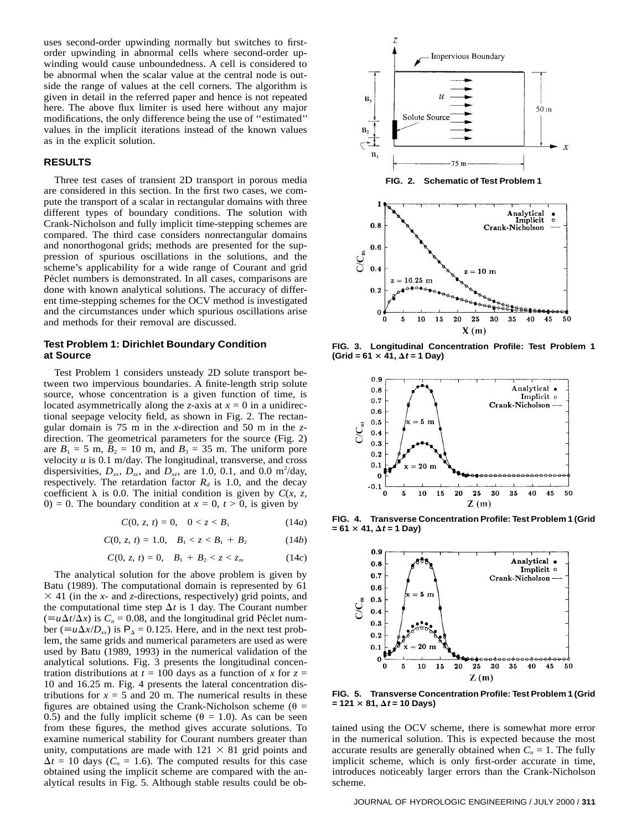uses second-order upwinding normally but switches to firstorder upwinding in abnormal cells where second-order upwinding would cause unboundedness. A cell is considered to be abnormal when the scalar value at the central node is outside the range of values at the cell corners. The algorithm is given in detail in the referred paper and hence is not repeated here. The above flux limiter is used here without any major modifications, the only difference being the use of ''estimated'' values in the implicit iterations instead of the known values as in the explicit solution.

#### **RESULTS**

Three test cases of transient 2D transport in porous media are considered in this section. In the first two cases, we compute the transport of a scalar in rectangular domains with three different types of boundary conditions. The solution with Crank-Nicholson and fully implicit time-stepping schemes are compared. The third case considers nonrectangular domains and nonorthogonal grids; methods are presented for the suppression of spurious oscillations in the solutions, and the scheme's applicability for a wide range of Courant and grid Péclet numbers is demonstrated. In all cases, comparisons are done with known analytical solutions. The accuracy of different time-stepping schemes for the OCV method is investigated and the circumstances under which spurious oscillations arise and methods for their removal are discussed.

## **Test Problem 1: Dirichlet Boundary Condition at Source**

Test Problem 1 considers unsteady 2D solute transport between two impervious boundaries. A finite-length strip solute source, whose concentration is a given function of time, is located asymmetrically along the *z*-axis at  $x = 0$  in a unidirectional seepage velocity field, as shown in Fig. 2. The rectangular domain is 75 m in the *x*-direction and 50 m in the *z*direction. The geometrical parameters for the source (Fig. 2) are  $B_1 = 5$  m,  $B_2 = 10$  m, and  $B_3 = 35$  m. The uniform pore velocity *u* is 0.1 m/day. The longitudinal, transverse, and cross dispersivities,  $D_{xx}$ ,  $D_{zz}$ , and  $D_{xz}$ , are 1.0, 0.1, and 0.0 m<sup>2</sup>/day, respectively. The retardation factor  $R_d$  is 1.0, and the decay coefficient  $\lambda$  is 0.0. The initial condition is given by  $C(x, z, z)$ 0) = 0. The boundary condition at  $x = 0$ ,  $t > 0$ , is given by

$$
C(0, z, t) = 0, \quad 0 < z < B_1 \tag{14a}
$$

$$
C(0, z, t) = 1.0, \quad B_1 < z < B_1 + B_2 \tag{14b}
$$

$$
C(0, z, t) = 0, \quad B_1 + B_2 < z < z_m \tag{14c}
$$

The analytical solution for the above problem is given by Batu (1989). The computational domain is represented by 61  $\times$  41 (in the *x*- and *z*-directions, respectively) grid points, and the computational time step  $\Delta t$  is 1 day. The Courant number  $(\equiv u\Delta t/\Delta x)$  is  $C_n = 0.08$ , and the longitudinal grid Péclet number ( $\equiv u \Delta x / D_{xx}$ ) is  $P_{\Delta} = 0.125$ . Here, and in the next test problem, the same grids and numerical parameters are used as were used by Batu (1989, 1993) in the numerical validation of the analytical solutions. Fig. 3 presents the longitudinal concentration distributions at  $t = 100$  days as a function of x for  $z =$ 10 and 16.25 m. Fig. 4 presents the lateral concentration distributions for  $x = 5$  and 20 m. The numerical results in these figures are obtained using the Crank-Nicholson scheme ( $\theta$  = 0.5) and the fully implicit scheme ( $\theta = 1.0$ ). As can be seen from these figures, the method gives accurate solutions. To examine numerical stability for Courant numbers greater than unity, computations are made with  $121 \times 81$  grid points and  $\Delta t = 10$  days ( $C_n = 1.6$ ). The computed results for this case obtained using the implicit scheme are compared with the analytical results in Fig. 5. Although stable results could be ob-



**FIG. 3. Longitudinal Concentration Profile: Test Problem 1**  $(Grid = 61 × 41,  $\Delta t = 1$  Day)$ 



**FIG. 4. Transverse Concentration Profile: Test Problem 1 (Grid**  $= 61 \times 41, \Delta t = 1$  Day)



**FIG. 5. Transverse Concentration Profile: Test Problem 1 (Grid**  $= 121 \times 81, \Delta t = 10 \text{ Days}$ 

tained using the OCV scheme, there is somewhat more error in the numerical solution. This is expected because the most accurate results are generally obtained when  $C_n = 1$ . The fully implicit scheme, which is only first-order accurate in time, introduces noticeably larger errors than the Crank-Nicholson scheme.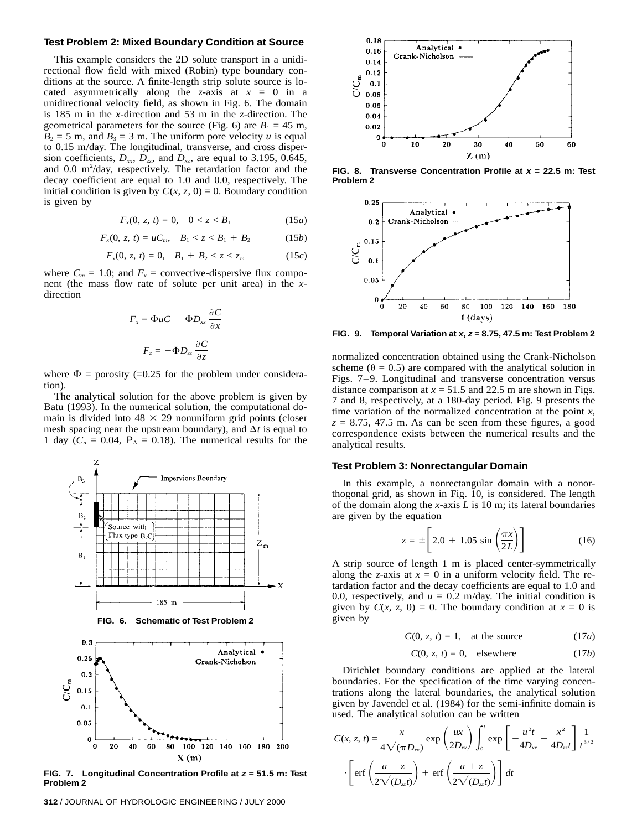#### **Test Problem 2: Mixed Boundary Condition at Source**

This example considers the 2D solute transport in a unidirectional flow field with mixed (Robin) type boundary conditions at the source. A finite-length strip solute source is located asymmetrically along the *z*-axis at  $x = 0$  in a unidirectional velocity field, as shown in Fig. 6. The domain is 185 m in the *x*-direction and 53 m in the *z*-direction. The geometrical parameters for the source (Fig. 6) are  $B_1 = 45$  m,  $B_2 = 5$  m, and  $B_3 = 3$  m. The uniform pore velocity *u* is equal to 0.15 m/day. The longitudinal, transverse, and cross dispersion coefficients,  $D_{xx}$ ,  $D_{zz}$ , and  $D_{xz}$ , are equal to 3.195, 0.645, and 0.0 m<sup>2</sup>/day, respectively. The retardation factor and the decay coefficient are equal to 1.0 and 0.0, respectively. The initial condition is given by  $C(x, z, 0) = 0$ . Boundary condition is given by

$$
F_x(0, z, t) = 0, \quad 0 < z < B_1 \tag{15a}
$$

$$
F_x(0, z, t) = uC_m, \quad B_1 < z < B_1 + B_2 \tag{15b}
$$

$$
F_x(0, z, t) = 0, \quad B_1 + B_2 < z < z_m \tag{15c}
$$

where  $C_m = 1.0$ ; and  $F_x$  = convective-dispersive flux component (the mass flow rate of solute per unit area) in the *x*direction

$$
F_x = \Phi uC - \Phi D_{xx} \frac{\partial C}{\partial x}
$$

$$
F_z = -\Phi D_{xx} \frac{\partial C}{\partial z}
$$

where  $\Phi$  = porosity (=0.25 for the problem under consideration).

The analytical solution for the above problem is given by Batu (1993). In the numerical solution, the computational domain is divided into  $48 \times 29$  nonuniform grid points (closer mesh spacing near the upstream boundary), and  $\Delta t$  is equal to 1 day  $(C_n = 0.04, P_{\Delta} = 0.18)$ . The numerical results for the





**FIG. 7. Longitudinal Concentration Profile at z = 51.5 m: Test Problem 2**



**FIG. 8. Transverse Concentration Profile at x = 22.5 m: Test Problem 2**



**FIG. 9. Temporal Variation at x, z = 8.75, 47.5 m: Test Problem 2**

normalized concentration obtained using the Crank-Nicholson scheme ( $\theta = 0.5$ ) are compared with the analytical solution in Figs. 7–9. Longitudinal and transverse concentration versus distance comparison at  $x = 51.5$  and 22.5 m are shown in Figs. 7 and 8, respectively, at a 180-day period. Fig. 9 presents the time variation of the normalized concentration at the point *x*,  $z = 8.75$ , 47.5 m. As can be seen from these figures, a good correspondence exists between the numerical results and the analytical results.

#### **Test Problem 3: Nonrectangular Domain**

In this example, a nonrectangular domain with a nonorthogonal grid, as shown in Fig. 10, is considered. The length of the domain along the *x*-axis *L* is 10 m; its lateral boundaries are given by the equation

$$
z = \pm \left[ 2.0 + 1.05 \sin \left( \frac{\pi x}{2L} \right) \right]
$$
 (16)

A strip source of length 1 m is placed center-symmetrically along the *z*-axis at  $x = 0$  in a uniform velocity field. The retardation factor and the decay coefficients are equal to 1.0 and 0.0, respectively, and  $u = 0.2$  m/day. The initial condition is given by  $C(x, z, 0) = 0$ . The boundary condition at  $x = 0$  is given by

$$
C(0, z, t) = 1, \quad \text{at the source} \tag{17a}
$$

$$
C(0, z, t) = 0, \quad \text{elsewhere} \tag{17b}
$$

Dirichlet boundary conditions are applied at the lateral boundaries. For the specification of the time varying concentrations along the lateral boundaries, the analytical solution given by Javendel et al. (1984) for the semi-infinite domain is used. The analytical solution can be written

$$
C(x, z, t) = \frac{x}{4\sqrt{(\pi D_{xx})}} \exp\left(\frac{ux}{2D_{xx}}\right) \int_0^t \exp\left[-\frac{u^2t}{4D_{xx}} - \frac{x^2}{4D_{xt}}\right] \frac{1}{t^{3/2}}
$$

$$
\cdot \left[\operatorname{erf}\left(\frac{a-z}{2\sqrt{(D_{xx}t)}}\right) + \operatorname{erf}\left(\frac{a+z}{2\sqrt{(D_{xx}t)}}\right)\right] dt
$$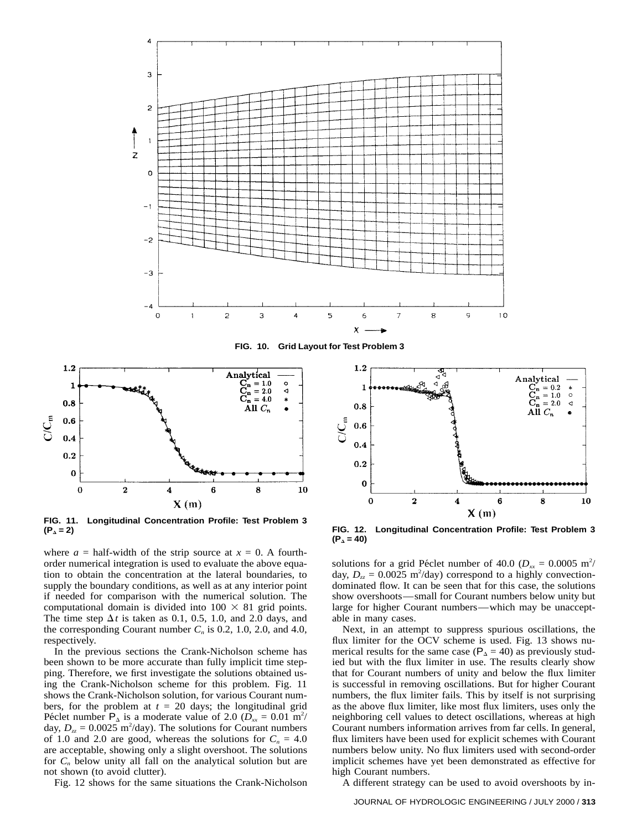

**FIG. 10. Grid Layout for Test Problem 3**



**FIG. 11. Longitudinal Concentration Profile: Test Problem 3 (P<sub>A</sub>** = 2) *FIG.* **12. Longitudinal Concentration Profile: Test Problem 3** 

where  $a = \text{half-width of the strip source at } x = 0$ . A fourthorder numerical integration is used to evaluate the above equation to obtain the concentration at the lateral boundaries, to supply the boundary conditions, as well as at any interior point if needed for comparison with the numerical solution. The computational domain is divided into  $100 \times 81$  grid points. The time step  $\Delta t$  is taken as 0.1, 0.5, 1.0, and 2.0 days, and the corresponding Courant number  $C_n$  is 0.2, 1.0, 2.0, and 4.0, respectively.

In the previous sections the Crank-Nicholson scheme has been shown to be more accurate than fully implicit time stepping. Therefore, we first investigate the solutions obtained using the Crank-Nicholson scheme for this problem. Fig. 11 shows the Crank-Nicholson solution, for various Courant numbers, for the problem at  $t = 20$  days; the longitudinal grid Péclet number  $P_{\Delta}$  is a moderate value of 2.0 ( $D_{xx} = 0.01$  m<sup>2</sup>/ day,  $D_{zz} = 0.0025 \text{ m}^2/\text{day}$ . The solutions for Courant numbers of 1.0 and 2.0 are good, whereas the solutions for  $C_n = 4.0$ are acceptable, showing only a slight overshoot. The solutions for  $C_n$  below unity all fall on the analytical solution but are not shown (to avoid clutter).

Fig. 12 shows for the same situations the Crank-Nicholson



 $(P_{\Delta} = 40)$ 

solutions for a grid Péclet number of 40.0 ( $D_{xx} = 0.0005$  m<sup>2</sup>/ day,  $D_{zz} = 0.0025 \text{ m}^2/\text{day}$  correspond to a highly convectiondominated flow. It can be seen that for this case, the solutions show overshoots—small for Courant numbers below unity but large for higher Courant numbers—which may be unacceptable in many cases.

Next, in an attempt to suppress spurious oscillations, the flux limiter for the OCV scheme is used. Fig. 13 shows numerical results for the same case ( $P_{\Delta} = 40$ ) as previously studied but with the flux limiter in use. The results clearly show that for Courant numbers of unity and below the flux limiter is successful in removing oscillations. But for higher Courant numbers, the flux limiter fails. This by itself is not surprising as the above flux limiter, like most flux limiters, uses only the neighboring cell values to detect oscillations, whereas at high Courant numbers information arrives from far cells. In general, flux limiters have been used for explicit schemes with Courant numbers below unity. No flux limiters used with second-order implicit schemes have yet been demonstrated as effective for high Courant numbers.

A different strategy can be used to avoid overshoots by in-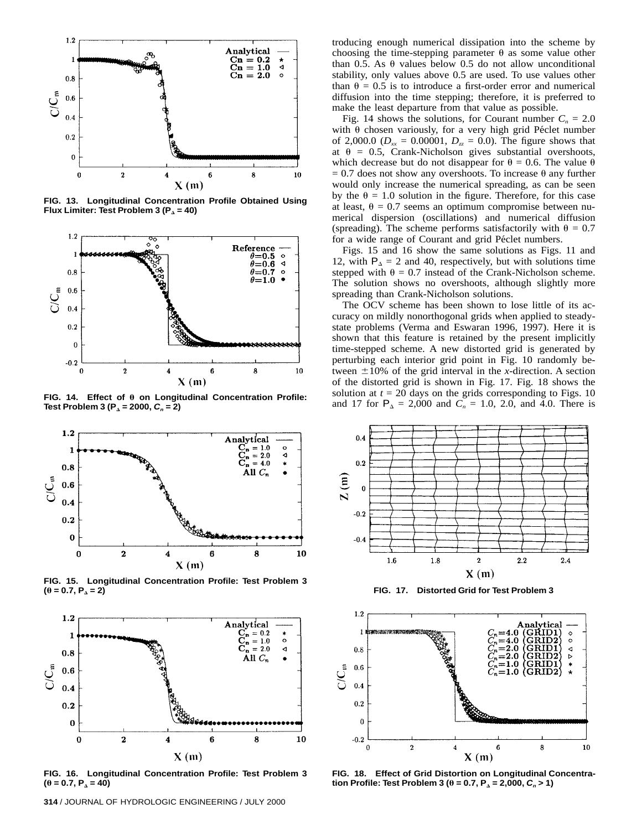

**FIG. 13. Longitudinal Concentration Profile Obtained Using** Flux Limiter: Test Problem 3 ( $P<sub>Δ</sub> = 40$ )



FIG. 14. Effect of  $\theta$  on Longitudinal Concentration Profile: **Test Problem 3 (** $P_{\Delta}$  **= 2000,**  $C_n$  **= 2)** 



**FIG. 15. Longitudinal Concentration Profile: Test Problem 3**  $(\theta = 0.7, P_{\Delta} = 2)$ 



**FIG. 16. Longitudinal Concentration Profile: Test Problem 3**  $(0 = 0.7, P_{\Delta} = 40)$ 

troducing enough numerical dissipation into the scheme by choosing the time-stepping parameter  $\theta$  as some value other than 0.5. As  $\theta$  values below 0.5 do not allow unconditional stability, only values above 0.5 are used. To use values other than  $\theta = 0.5$  is to introduce a first-order error and numerical diffusion into the time stepping; therefore, it is preferred to make the least departure from that value as possible.

Fig. 14 shows the solutions, for Courant number  $C_n = 2.0$ with  $\theta$  chosen variously, for a very high grid Péclet number of 2,000.0 ( $D_{xx} = 0.00001$ ,  $D_{zz} = 0.0$ ). The figure shows that at  $\theta = 0.5$ , Crank-Nicholson gives substantial overshoots, which decrease but do not disappear for  $\theta = 0.6$ . The value  $\theta$  $= 0.7$  does not show any overshoots. To increase  $\theta$  any further would only increase the numerical spreading, as can be seen by the  $\theta = 1.0$  solution in the figure. Therefore, for this case at least,  $\theta = 0.7$  seems an optimum compromise between numerical dispersion (oscillations) and numerical diffusion (spreading). The scheme performs satisfactorily with  $\theta = 0.7$ for a wide range of Courant and grid Péclet numbers.

Figs. 15 and 16 show the same solutions as Figs. 11 and 12, with  $P_{\Delta} = 2$  and 40, respectively, but with solutions time stepped with  $\theta = 0.7$  instead of the Crank-Nicholson scheme. The solution shows no overshoots, although slightly more spreading than Crank-Nicholson solutions.

The OCV scheme has been shown to lose little of its accuracy on mildly nonorthogonal grids when applied to steadystate problems (Verma and Eswaran 1996, 1997). Here it is shown that this feature is retained by the present implicitly time-stepped scheme. A new distorted grid is generated by perturbing each interior grid point in Fig. 10 randomly between  $\pm 10\%$  of the grid interval in the *x*-direction. A section of the distorted grid is shown in Fig. 17. Fig. 18 shows the solution at  $t = 20$  days on the grids corresponding to Figs. 10 and 17 for  $P_{\Delta} = 2,000$  and  $C_n = 1.0, 2.0,$  and 4.0. There is



**FIG. 17. Distorted Grid for Test Problem 3**



**FIG. 18. Effect of Grid Distortion on Longitudinal Concentration Profile: Test Problem 3 (** $\theta$  **= 0.7, P<sub>** $\Delta$ **</sub> = 2,000, C<sub>n</sub> > 1)**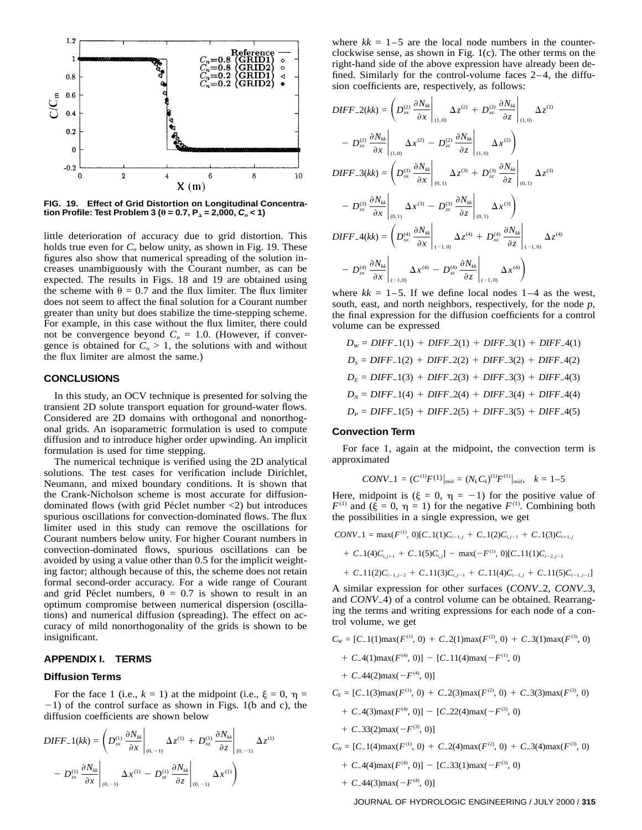

**FIG. 19. Effect of Grid Distortion on Longitudinal Concentration Profile: Test Problem 3 (** $\theta$  **= 0.7,**  $P_{\Delta}$  **= 2,000,**  $C_n$  **< 1)** 

little deterioration of accuracy due to grid distortion. This holds true even for  $C_n$  below unity, as shown in Fig. 19. These figures also show that numerical spreading of the solution increases unambiguously with the Courant number, as can be expected. The results in Figs. 18 and 19 are obtained using the scheme with  $\theta = 0.7$  and the flux limiter. The flux limiter does not seem to affect the final solution for a Courant number greater than unity but does stabilize the time-stepping scheme. For example, in this case without the flux limiter, there could not be convergence beyond  $C_n = 1.0$ . (However, if convergence is obtained for  $C_n > 1$ , the solutions with and without the flux limiter are almost the same.)

## **CONCLUSIONS**

In this study, an OCV technique is presented for solving the transient 2D solute transport equation for ground-water flows. Considered are 2D domains with orthogonal and nonorthogonal grids. An isoparametric formulation is used to compute diffusion and to introduce higher order upwinding. An implicit formulation is used for time stepping.

The numerical technique is verified using the 2D analytical solutions. The test cases for verification include Dirichlet, Neumann, and mixed boundary conditions. It is shown that the Crank-Nicholson scheme is most accurate for diffusiondominated flows (with grid Péclet number  $\langle 2 \rangle$  but introduces spurious oscillations for convection-dominated flows. The flux limiter used in this study can remove the oscillations for Courant numbers below unity. For higher Courant numbers in convection-dominated flows, spurious oscillations can be avoided by using a value other than 0.5 for the implicit weighting factor; although because of this, the scheme does not retain formal second-order accuracy. For a wide range of Courant and grid Péclet numbers,  $\theta = 0.7$  is shown to result in an optimum compromise between numerical dispersion (oscillations) and numerical diffusion (spreading). The effect on accuracy of mild nonorthogonality of the grids is shown to be insignificant.

#### **APPENDIX I. TERMS**

#### **Diffusion Terms**

For the face 1 (i.e.,  $k = 1$ ) at the midpoint (i.e.,  $\xi = 0$ ,  $\eta =$  $-1$ ) of the control surface as shown in Figs. 1(b and c), the diffusion coefficients are shown below

$$
DIFF_{-1}(kk) = \left( D_{xx}^{(1)} \frac{\partial N_{kk}}{\partial x} \Big|_{(0,-1)} \Delta z^{(1)} + D_{xz}^{(1)} \frac{\partial N_{kk}}{\partial z} \Big|_{(0,-1)} \Delta z^{(1)} - D_{zx}^{(1)} \frac{\partial N_{kk}}{\partial x} \Big|_{(0,-1)} \Delta z^{(1)} - D_{zx}^{(1)} \frac{\partial N_{kk}}{\partial z} \Big|_{(0,-1)} \Delta x^{(1)} \right)
$$

where  $kk = 1-5$  are the local node numbers in the counterclockwise sense, as shown in Fig. 1(c). The other terms on the right-hand side of the above expression have already been defined. Similarly for the control-volume faces 2–4, the diffusion coefficients are, respectively, as follows:

$$
DIFF_{-2}(kk) = \left(D_{xx}^{(2)} \frac{\partial N_{kk}}{\partial x}\Big|_{(1,0)} \Delta z^{(2)} + D_{xz}^{(2)} \frac{\partial N_{kk}}{\partial z}\Big|_{(1,0)} \Delta z^{(2)}
$$

$$
- D_{zx}^{(2)} \frac{\partial N_{kk}}{\partial x}\Big|_{(1,0)} \Delta x^{(2)} - D_{zz}^{(2)} \frac{\partial N_{kk}}{\partial z}\Big|_{(1,0)} \Delta x^{(2)}
$$

$$
DIFF_{-3}(kk) = \left(D_{xx}^{(3)} \frac{\partial N_{kk}}{\partial x}\Big|_{(0,1)} \Delta z^{(3)} + D_{xz}^{(3)} \frac{\partial N_{kk}}{\partial z}\Big|_{(0,1)} \Delta z^{(3)}
$$

$$
- D_{zx}^{(3)} \frac{\partial N_{kk}}{\partial x}\Big|_{(0,1)} \Delta x^{(3)} - D_{zz}^{(3)} \frac{\partial N_{kk}}{\partial z}\Big|_{(0,1)} \Delta x^{(3)}
$$

$$
DIFF_{-4}(kk) = \left(D_{xx}^{(4)} \frac{\partial N_{kk}}{\partial x}\Big|_{(-1,0)} \Delta z^{(4)} + D_{xz}^{(4)} \frac{\partial N_{kk}}{\partial z}\Big|_{(-1,0)} \Delta z^{(4)}
$$

$$
- D_{zx}^{(4)} \frac{\partial N_{kk}}{\partial x}\Big|_{(-1,0)} \Delta x^{(4)} - D_{zz}^{(4)} \frac{\partial N_{kk}}{\partial z}\Big|_{(-1,0)} \Delta x^{(4)}
$$

where  $kk = 1-5$ . If we define local nodes  $1-4$  as the west, south, east, and north neighbors, respectively, for the node *p*, the final expression for the diffusion coefficients for a control volume can be expressed

$$
D_W = DIFF_{-1}(1) + DIFF_{-2}(1) + DIFF_{-3}(1) + DIFF_{-4}(1)
$$
\n
$$
D_s = DIFF_{-1}(2) + DIFF_{-2}(2) + DIFF_{-3}(2) + DIFF_{-4}(2)
$$
\n
$$
D_E = DIFF_{-1}(3) + DIFF_{-2}(3) + DIFF_{-3}(3) + DIFF_{-4}(3)
$$
\n
$$
D_N = DIFF_{-1}(4) + DIFF_{-2}(4) + DIFF_{-3}(4) + DIFF_{-4}(4)
$$
\n
$$
D_P = DIFF_{-1}(5) + DIFF_{-2}(5) + DIFF_{-3}(5) + DIFF_{-4}(5)
$$

#### **Convection Term**

For face 1, again at the midpoint, the convection term is approximated

$$
CONV_{-}1 = (C^{(1)}F^{(1)}|_{mid} = (N_k C_k)^{(1)}F^{(1)}|_{mid}, \quad k = 1-5
$$

Here, midpoint is  $(\xi = 0, \eta = -1)$  for the positive value of  $F^{(1)}$  and  $(\xi = 0, \eta = 1)$  for the negative  $F^{(1)}$ . Combining both the possibilities in a single expression, we get

$$
CONV_{-}1 = \max(F^{(1)}, 0)[C_{-}1(1)C_{i-1,j} + C_{-}1(2)C_{i,j-1} + C_{-}1(3)C_{i+1,j}]
$$

 $+ C_{-1}(4)C_{i,j+1} + C_{-1}(5)C_{i,j}$  |  $-$  max( $-F^{(1)}, 0$ )[ $C_{-1}(1)(1)C_{i-2,j-1}$ 

+ 
$$
C_{-}11(2)C_{i-1,j-2}
$$
 +  $C_{-}11(3)C_{i,j-1}$  +  $C_{-}11(4)C_{i-1,j}$  +  $C_{-}11(5)C_{i-1,j-1}$ 

A similar expression for other surfaces (*CONV*<sub>2</sub>, *CONV*<sub>2</sub>3, and *CONV*<sub>-4</sub>) of a control volume can be obtained. Rearranging the terms and writing expressions for each node of a control volume, we get

- $C_w = [C_1(1) \max(F^{(1)}, 0) + C_2(1) \max(F^{(2)}, 0) + C_3(1) \max(F^{(3)}, 0)$ 
	- $+ C_4(1) \max(F^{(4)}, 0) [C_1 1(4) \max(-F^{(1)}, 0)]$
	- $+ C_44(2) \text{max}(-F^{(4)}, 0)$ ]
- $C_E = [C_1(3) \max(F^{(1)}, 0) + C_2(3) \max(F^{(2)}, 0) + C_3(3) \max(F^{(3)}, 0)$ 
	- $+ C_{-}4(3) \max(F^{(4)}, 0) [C_{-}22(4) \max(-F^{(2)}, 0)]$
	- $+ C_{-}33(2)$ max $(-F^{(3)}, 0)$ ]

 $C_N = [C_1(4) \max(F^{(1)}, 0) + C_2(4) \max(F^{(2)}, 0) + C_3(4) \max(F^{(3)}, 0)$ 

- $+ C_4(4) \max(F^{(4)}, 0)] [C_3(1) \max(-F^{(3)}, 0)]$
- $+ C_44(3) \text{max}(-F^{(4)}, 0)$ ]

JOURNAL OF HYDROLOGIC ENGINEERING / JULY 2000 / **315**